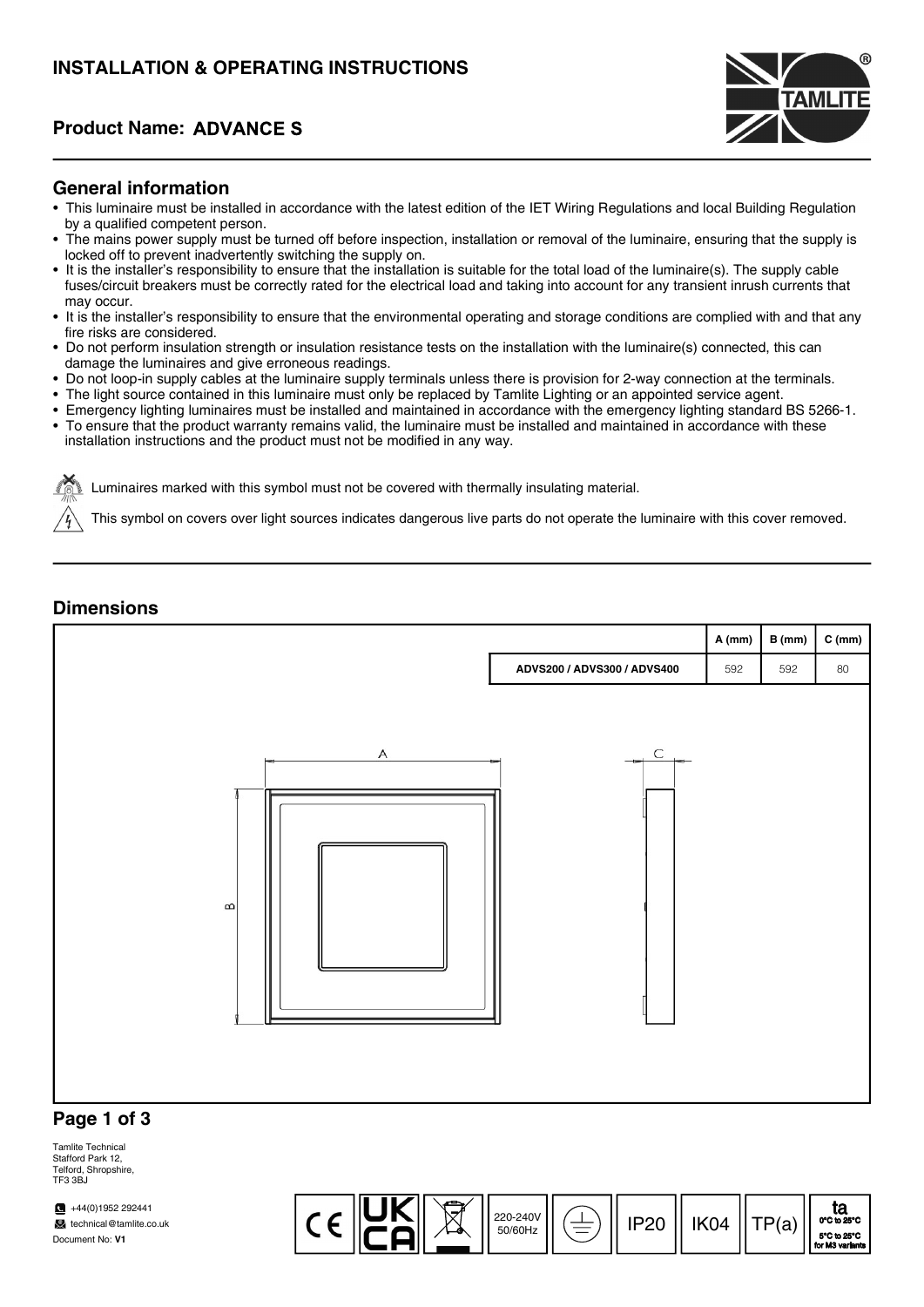# INSTALLATION & OPERATING INSTRUCTIONS

### **Product Name: ADVANCE S**



#### General information

- This luminaire must be installed in accordance with the latest edition of the IET Wiring Regulations and local Building Regulation by a qualified competent person.
- The mains power supply must be turned off before inspection, installation or removal of the luminaire, ensuring that the supply is locked off to prevent inadvertently switching the supply on.
- It is the installer's responsibility to ensure that the installation is suitable for the total load of the luminaire(s). The supply cable fuses/circuit breakers must be correctly rated for the electrical load and taking into account for any transient inrush currents that may occur.
- It is the installer's responsibility to ensure that the environmental operating and storage conditions are complied with and that any fire risks are considered.
- Do not perform insulation strength or insulation resistance tests on the installation with the luminaire(s) connected, this can damage the luminaires and give erroneous readings.
- Do not loop-in supply cables at the luminaire supply terminals unless there is provision for 2-way connection at the terminals.
- The light source contained in this luminaire must only be replaced by Tamlite Lighting or an appointed service agent.
- Emergency lighting luminaires must be installed and maintained in accordance with the emergency lighting standard BS 5266-1.
- To ensure that the product warranty remains valid, the luminaire must be installed and maintained in accordance with these installation instructions and the product must not be modified in any way.

Luminaires marked with this symbol must not be covered with thermally insulating material.

This symbol on covers over light sources indicates dangerous live parts do not operate the luminaire with this cover removed.

#### **Dimensions**



Tamlite Technical Stafford Park 12, Telford, Shropshire, TE3 3BJ

 $\sqrt{44(0)}$ 1952 292441 technical@tamlite.co.uk Document No: V1

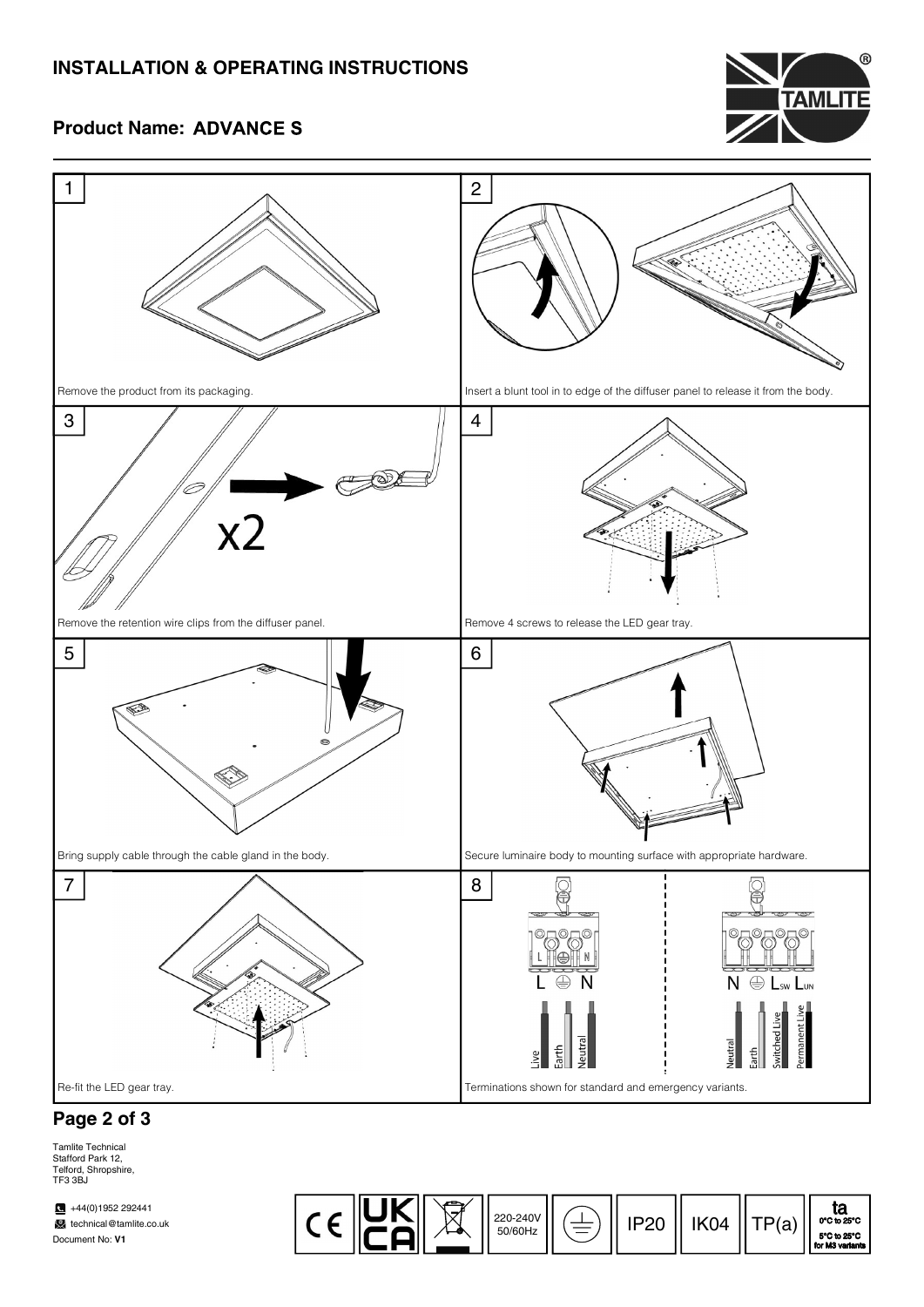## INSTALLATION & OPERATING INSTRUCTIONS



### **Product Name: ADVANCE S**



## Page 2 of 3

Tamlite Technical Stafford Park 12, Telford, Shropshire, TF3 3BJ

 $\bullet$  +44(0)1952 292441 **technical@tamlite.co.uk** Document No: V1